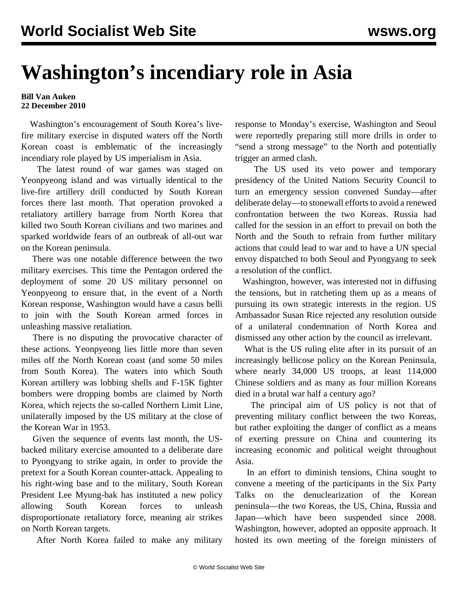## **Washington's incendiary role in Asia**

## **Bill Van Auken 22 December 2010**

 Washington's encouragement of South Korea's livefire military exercise in disputed waters off the North Korean coast is emblematic of the increasingly incendiary role played by US imperialism in Asia.

 The latest round of war games was staged on Yeonpyeong island and was virtually identical to the live-fire artillery drill conducted by South Korean forces there last month. That operation provoked a retaliatory artillery barrage from North Korea that killed two South Korean civilians and two marines and sparked worldwide fears of an outbreak of all-out war on the Korean peninsula.

 There was one notable difference between the two military exercises. This time the Pentagon ordered the deployment of some 20 US military personnel on Yeonpyeong to ensure that, in the event of a North Korean response, Washington would have a casus belli to join with the South Korean armed forces in unleashing massive retaliation.

 There is no disputing the provocative character of these actions. Yeonpyeong lies little more than seven miles off the North Korean coast (and some 50 miles from South Korea). The waters into which South Korean artillery was lobbing shells and F-15K fighter bombers were dropping bombs are claimed by North Korea, which rejects the so-called Northern Limit Line, unilaterally imposed by the US military at the close of the Korean War in 1953.

 Given the sequence of events last month, the USbacked military exercise amounted to a deliberate dare to Pyongyang to strike again, in order to provide the pretext for a South Korean counter-attack. Appealing to his right-wing base and to the military, South Korean President Lee Myung-bak has instituted a new policy allowing South Korean forces to unleash disproportionate retaliatory force, meaning air strikes on North Korean targets.

After North Korea failed to make any military

response to Monday's exercise, Washington and Seoul were reportedly preparing still more drills in order to "send a strong message" to the North and potentially trigger an armed clash.

 The US used its veto power and temporary presidency of the United Nations Security Council to turn an emergency session convened Sunday—after deliberate delay—to stonewall efforts to avoid a renewed confrontation between the two Koreas. Russia had called for the session in an effort to prevail on both the North and the South to refrain from further military actions that could lead to war and to have a UN special envoy dispatched to both Seoul and Pyongyang to seek a resolution of the conflict.

 Washington, however, was interested not in diffusing the tensions, but in ratcheting them up as a means of pursuing its own strategic interests in the region. US Ambassador Susan Rice rejected any resolution outside of a unilateral condemnation of North Korea and dismissed any other action by the council as irrelevant.

 What is the US ruling elite after in its pursuit of an increasingly bellicose policy on the Korean Peninsula, where nearly 34,000 US troops, at least 114,000 Chinese soldiers and as many as four million Koreans died in a brutal war half a century ago?

 The principal aim of US policy is not that of preventing military conflict between the two Koreas, but rather exploiting the danger of conflict as a means of exerting pressure on China and countering its increasing economic and political weight throughout Asia.

 In an effort to diminish tensions, China sought to convene a meeting of the participants in the Six Party Talks on the denuclearization of the Korean peninsula—the two Koreas, the US, China, Russia and Japan—which have been suspended since 2008. Washington, however, adopted an opposite approach. It hosted its own meeting of the foreign ministers of